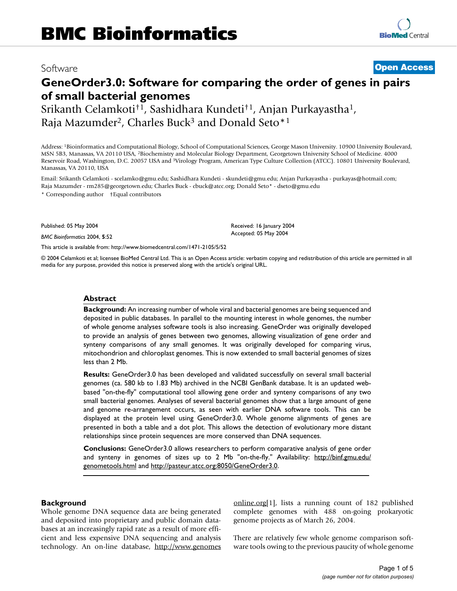## Software **[Open Access](http://www.biomedcentral.com/info/about/charter/)**

# **GeneOrder3.0: Software for comparing the order of genes in pairs of small bacterial genomes**

Srikanth Celamkoti†1, Sashidhara Kundeti†1, Anjan Purkayastha1, Raja Mazumder<sup>2</sup>, Charles Buck<sup>3</sup> and Donald Seto<sup>\*1</sup>

Address: 1Bioinformatics and Computational Biology, School of Computational Sciences, George Mason University. 10900 University Boulevard, MSN 5B3, Manassas, VA 20110 USA, 2Biochemistry and Molecular Biology Department, Georgetown University School of Medicine. 4000 Reservoir Road, Washington, D.C. 20057 USA and 3Virology Program, American Type Culture Collection (ATCC). 10801 University Boulevard, Manassas, VA 20110, USA

Email: Srikanth Celamkoti - scelamko@gmu.edu; Sashidhara Kundeti - skundeti@gmu.edu; Anjan Purkayastha - purkayas@hotmail.com; Raja Mazumder - rm285@georgetown.edu; Charles Buck - cbuck@atcc.org; Donald Seto\* - dseto@gmu.edu \* Corresponding author †Equal contributors

Published: 05 May 2004

*BMC Bioinformatics* 2004, **5**:52

[This article is available from: http://www.biomedcentral.com/1471-2105/5/52](http://www.biomedcentral.com/1471-2105/5/52)

© 2004 Celamkoti et al; licensee BioMed Central Ltd. This is an Open Access article: verbatim copying and redistribution of this article are permitted in all media for any purpose, provided this notice is preserved along with the article's original URL.

Received: 16 January 2004 Accepted: 05 May 2004

#### **Abstract**

**Background:** An increasing number of whole viral and bacterial genomes are being sequenced and deposited in public databases. In parallel to the mounting interest in whole genomes, the number of whole genome analyses software tools is also increasing. GeneOrder was originally developed to provide an analysis of genes between two genomes, allowing visualization of gene order and synteny comparisons of any small genomes. It was originally developed for comparing virus, mitochondrion and chloroplast genomes. This is now extended to small bacterial genomes of sizes less than 2 Mb.

**Results:** GeneOrder3.0 has been developed and validated successfully on several small bacterial genomes (ca. 580 kb to 1.83 Mb) archived in the NCBI GenBank database. It is an updated webbased "on-the-fly" computational tool allowing gene order and synteny comparisons of any two small bacterial genomes. Analyses of several bacterial genomes show that a large amount of gene and genome re-arrangement occurs, as seen with earlier DNA software tools. This can be displayed at the protein level using GeneOrder3.0. Whole genome alignments of genes are presented in both a table and a dot plot. This allows the detection of evolutionary more distant relationships since protein sequences are more conserved than DNA sequences.

**Conclusions:** GeneOrder3.0 allows researchers to perform comparative analysis of gene order and synteny in genomes of sizes up to 2 Mb "on-the-fly." Availability: [http://binf.gmu.edu/](http://binf.gmu.edu/genometools.html) [genometools.html](http://binf.gmu.edu/genometools.html) and [http://pasteur.atcc.org:8050/GeneOrder3.0.](http://pasteur.atcc.org:8050/GeneOrder3.0)

#### **Background**

Whole genome DNA sequence data are being generated and deposited into proprietary and public domain databases at an increasingly rapid rate as a result of more efficient and less expensive DNA sequencing and analysis technology. An on-line database, [http://www.genomes](http://www.genomesonline.org) [online.org\[](http://www.genomesonline.org)1], lists a running count of 182 published complete genomes with 488 on-going prokaryotic genome projects as of March 26, 2004.

There are relatively few whole genome comparison software tools owing to the previous paucity of whole genome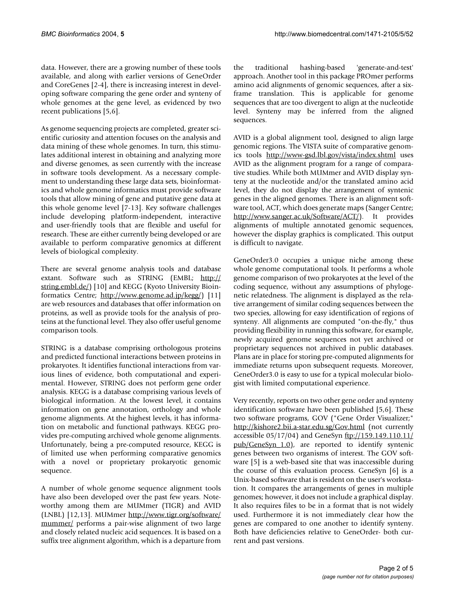data. However, there are a growing number of these tools available, and along with earlier versions of GeneOrder and CoreGenes [2-4], there is increasing interest in developing software comparing the gene order and synteny of whole genomes at the gene level, as evidenced by two recent publications [5,6].

As genome sequencing projects are completed, greater scientific curiosity and attention focuses on the analysis and data mining of these whole genomes. In turn, this stimulates additional interest in obtaining and analyzing more and diverse genomes, as seen currently with the increase in software tools development. As a necessary complement to understanding these large data sets, bioinformatics and whole genome informatics must provide software tools that allow mining of gene and putative gene data at this whole genome level [7-13]. Key software challenges include developing platform-independent, interactive and user-friendly tools that are flexible and useful for research. These are either currently being developed or are available to perform comparative genomics at different levels of biological complexity.

There are several genome analysis tools and database extant. Software such as STRING (EMBL; [http://](http://string.embl.de/) [string.embl.de/](http://string.embl.de/)) [10] and KEGG (Kyoto University Bioinformatics Centre; [http://www.genome.ad.jp/kegg/\)](http://www.genome.ad.jp/kegg/) [11] are web resources and databases that offer information on proteins, as well as provide tools for the analysis of proteins at the functional level. They also offer useful genome comparison tools.

STRING is a database comprising orthologous proteins and predicted functional interactions between proteins in prokaryotes. It identifies functional interactions from various lines of evidence, both computational and experimental. However, STRING does not perform gene order analysis. KEGG is a database comprising various levels of biological information. At the lowest level, it contains information on gene annotation, orthology and whole genome alignments. At the highest levels, it has information on metabolic and functional pathways. KEGG provides pre-computing archived whole genome alignments. Unfortunately, being a pre-computed resource, KEGG is of limited use when performing comparative genomics with a novel or proprietary prokaryotic genomic sequence.

A number of whole genome sequence alignment tools have also been developed over the past few years. Noteworthy among them are MUMmer (TIGR) and AVID (LNBL) [12,13]. MUMmer [http://www.tigr.org/software/](http://www.tigr.org/software/mummer/) [mummer/](http://www.tigr.org/software/mummer/) performs a pair-wise alignment of two large and closely related nucleic acid sequences. It is based on a suffix tree alignment algorithm, which is a departure from

the traditional hashing-based 'generate-and-test' approach. Another tool in this package PROmer performs amino acid alignments of genomic sequences, after a sixframe translation. This is applicable for genome sequences that are too divergent to align at the nucleotide level. Synteny may be inferred from the aligned sequences.

AVID is a global alignment tool, designed to align large genomic regions. The VISTA suite of comparative genomics tools <http://www-gsd.lbl.gov/vista/index.shtml> uses AVID as the alignment program for a range of comparative studies. While both MUMmer and AVID display synteny at the nucleotide and/or the translated amino acid level, they do not display the arrangement of syntenic genes in the aligned genomes. There is an alignment software tool, ACT, which does generate maps (Sanger Centre; <http://www.sanger.ac.uk/Software/ACT/>). It provides alignments of multiple annotated genomic sequences, however the display graphics is complicated. This output is difficult to navigate.

GeneOrder3.0 occupies a unique niche among these whole genome computational tools. It performs a whole genome comparison of two prokaryotes at the level of the coding sequence, without any assumptions of phylogenetic relatedness. The alignment is displayed as the relative arrangement of similar coding sequences between the two species, allowing for easy identification of regions of synteny. All alignments are computed "on-the-fly," thus providing flexibility in running this software, for example, newly acquired genome sequences not yet archived or proprietary sequences not archived in public databases. Plans are in place for storing pre-computed alignments for immediate returns upon subsequent requests. Moreover, GeneOrder3.0 is easy to use for a typical molecular biologist with limited computational experience.

Very recently, reports on two other gene order and synteny identification software have been published [5,6]. These two software programs, GOV ("Gene Order Visualizer;" <http://kishore2.bii.a-star.edu.sg/Gov.html> (not currently accessible 05/17/04) and GeneSyn [ftp://159.149.110.11/](ftp://159.149.110.11/pub/GeneSyn_1.0)  $pub/GeneSyn$  1.0), are reported to identify syntenic genes between two organisms of interest. The GOV software [5] is a web-based site that was inaccessible during the course of this evaluation process. GeneSyn [6] is a Unix-based software that is resident on the user's workstation. It compares the arrangements of genes in multiple genomes; however, it does not include a graphical display. It also requires files to be in a format that is not widely used. Furthermore it is not immediately clear how the genes are compared to one another to identify synteny. Both have deficiencies relative to GeneOrder- both current and past versions.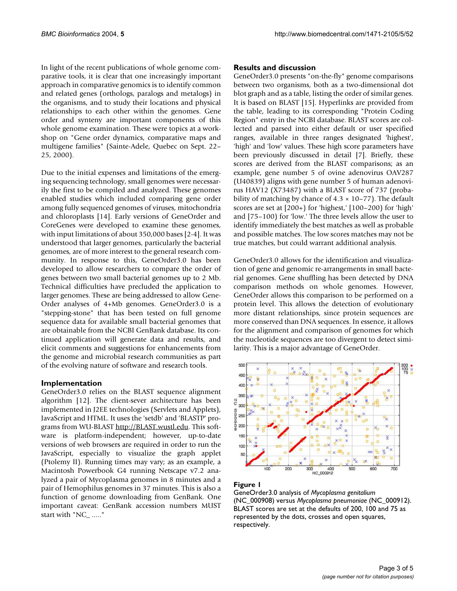In light of the recent publications of whole genome comparative tools, it is clear that one increasingly important approach in comparative genomics is to identify common and related genes (orthologs, paralogs and metalogs) in the organisms, and to study their locations and physical relationships to each other within the genomes. Gene order and synteny are important components of this whole genome examination. These were topics at a workshop on "Gene order dynamics, comparative maps and multigene families" (Sainte-Adele, Quebec on Sept. 22– 25, 2000).

Due to the initial expenses and limitations of the emerging sequencing technology, small genomes were necessarily the first to be compiled and analyzed. These genomes enabled studies which included comparing gene order among fully sequenced genomes of viruses, mitochondria and chloroplasts [14]. Early versions of GeneOrder and CoreGenes were developed to examine these genomes, with input limitations of about 350,000 bases [2-4]. It was understood that larger genomes, particularly the bacterial genomes, are of more interest to the general research community. In response to this, GeneOrder3.0 has been developed to allow researchers to compare the order of genes between two small bacterial genomes up to 2 Mb. Technical difficulties have precluded the application to larger genomes. These are being addressed to allow Gene-Order analyses of 4+Mb genomes. GeneOrder3.0 is a "stepping-stone" that has been tested on full genome sequence data for available small bacterial genomes that are obtainable from the NCBI GenBank database. Its continued application will generate data and results, and elicit comments and suggestions for enhancements from the genome and microbial research communities as part of the evolving nature of software and research tools.

#### **Implementation**

GeneOrder3.0 relies on the BLAST sequence alignment algorithm [12]. The client-sever architecture has been implemented in J2EE technologies (Servlets and Applets), JavaScript and HTML. It uses the 'setdb' and 'BLASTP' programs from WU-BLAST<http://BLAST.wustl.edu>. This software is platform-independent; however, up-to-date versions of web browsers are required in order to run the JavaScript, especially to visualize the graph applet (Ptolemy II). Running times may vary; as an example, a Macintosh Powerbook G4 running Netscape v7.2 analyzed a pair of Mycoplasma genomes in 8 minutes and a pair of Hemophilus genomes in 37 minutes. This is also a function of genome downloading from GenBank. One important caveat: GenBank accession numbers MUST start with "NC\_ ....."

#### **Results and discussion**

GeneOrder3.0 presents "on-the-fly" genome comparisons between two organisms, both as a two-dimensional dot blot graph and as a table, listing the order of similar genes. It is based on BLAST [15]. Hyperlinks are provided from the table, leading to its corresponding "Protein Coding Region" entry in the NCBI database. BLAST scores are collected and parsed into either default or user specified ranges, available in three ranges designated 'highest', 'high' and 'low' values. These high score parameters have been previously discussed in detail [7]. Briefly, these scores are derived from the BLAST comparisons; as an example, gene number 5 of ovine adenovirus OAV287 (U40839) aligns with gene number 5 of human adenovirus HAV12 (X73487) with a BLAST score of 737 (probability of matching by chance of  $4.3 \times 10-77$ ). The default scores are set at [200+) for 'highest,' [100–200) for 'high' and [75–100) for 'low.' The three levels allow the user to identify immediately the best matches as well as probable and possible matches. The low scores matches may not be true matches, but could warrant additional analysis.

GeneOrder3.0 allows for the identification and visualization of gene and genomic re-arrangements in small bacterial genomes. Gene shuffling has been detected by DNA comparison methods on whole genomes. However, GeneOrder allows this comparison to be performed on a protein level. This allows the detection of evolutionary more distant relationships, since protein sequences are more conserved than DNA sequences. In essence, it allows for the alignment and comparison of genomes for which the nucleotide sequences are too divergent to detect similarity. This is a major advantage of GeneOrder.



#### Figure 1

GeneOrder3.0 analysis of *Mycoplasma genitalium*  (NC\_000908) versus *Mycoplasma pneumoniae* (NC\_000912). BLAST scores are set at the defaults of 200, 100 and 75 as represented by the dots, crosses and open squares, respectively.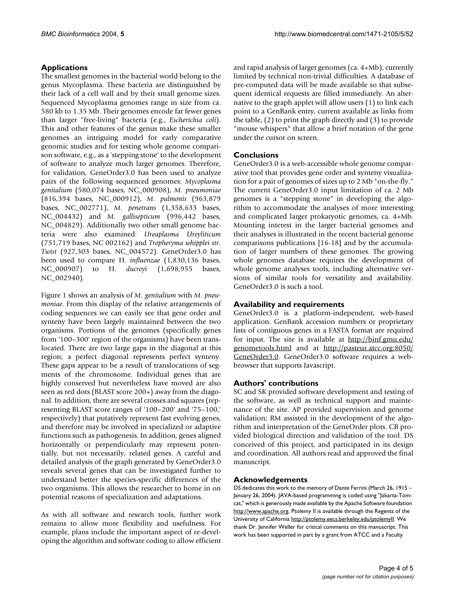### **Applications**

The smallest genomes in the bacterial world belong to the genus Mycoplasma. These bacteria are distinguished by their lack of a cell wall and by their small genome sizes. Sequenced Mycoplasma genomes range in size from ca. 580 kb to 1.35 Mb. Their genomes encode far fewer genes than larger "free-living" bacteria (e.g., *Escherichia coli*). This and other features of the genus make these smaller genomes an intriguing model for early comparative genomic studies and for testing whole genome comparison software, e.g., as a 'stepping stone' to the development of software to analyze much larger genomes. Therefore, for validation, GeneOrder3.0 has been used to analyze pairs of the following sequenced genomes: *Mycoplasma genitalium* (580,074 bases, NC\_000908), *M. pneumoniae* (816,394 bases, NC\_000912), *M. pulmonis* (963,879 bases, NC\_002771), *M. penetrans* (1,358,633 bases, NC\_004432) and *M. gallisepticum* (996,442 bases, NC\_004829). Additionally two other small genome bacteria were also examined: *Ureaplasma Ureyliticum* (751,719 bases, NC 002162) and *Tropheryma whipplei str. Twist* (927,303 bases, NC\_004572). GeneOrder3.0 has been used to compare H. *influenzae* (1,830,136 bases, NC\_000907) to H. *ducreyi* (1,698,955 bases, NC\_002940).

Figure 1 shows an analysis of *M. genitalium* with *M. pneumoniae*. From this display of the relative arrangements of coding sequences we can easily see that gene order and synteny have been largely maintained between the two organisms. Portions of the genomes (specifically genes from '100–300' region of the organisms) have been translocated. There are two large gaps in the diagonal at this region; a perfect diagonal represents perfect synteny. These gaps appear to be a result of translocations of segments of the chromosome. Individual genes that are highly conserved but nevertheless have moved are also seen as red dots (BLAST score 200+) away from the diagonal. In addition, there are several crosses and squares (representing BLAST score ranges of '100–200' and '75–100,' respectively) that putatively represent fast evolving genes, and therefore may be involved in specialized or adaptive functions such as pathogenesis. In addition, genes aligned horizontally or perpendicularly may represent potentially, but not necessarily, related genes. A careful and detailed analysis of the graph generated by GeneOrder3.0 reveals several genes that can be investigated further to understand better the species-specific differences of the two organisms. This allows the researcher to home in on potential reasons of specialization and adaptations.

As with all software and research tools, further work remains to allow more flexibility and usefulness. For example, plans include the important aspect of re-developing the algorithm and software coding to allow efficient and rapid analysis of larger genomes (ca. 4+Mb), currently limited by technical non-trivial difficulties. A database of pre-computed data will be made available so that subsequent identical requests are filled immediately. An alternative to the graph applet will allow users (1) to link each point to a GenBank entry, current available as links from the table, (2) to print the graph directly and (3) to provide "mouse whispers" that allow a brief notation of the gene under the cursor on screen.

#### **Conclusions**

GeneOrder3.0 is a web-accessible whole genome comparative tool that provides gene order and synteny visualization for a pair of genomes of sizes up to 2 Mb "on-the-fly." The current GeneOrder3.0 input limitation of ca. 2 Mb genomes is a "stepping stone" in developing the algorithm to accommodate the analyses of more interesting and complicated larger prokaryotic genomes, ca. 4+Mb. Mounting interest in the larger bacterial genomes and their analyses is illustrated in the recent bacterial genome comparisons publications [16-18] and by the accumulation of larger numbers of these genomes. The growing whole genomes database requires the development of whole genome analyses tools, including alternative versions of similar tools for versatility and availability. GeneOrder3.0 is such a tool.

#### **Availability and requirements**

GeneOrder3.0 is a platform-independent, web-based application. GenBank accession numbers or proprietary lists of contiguous genes in a FASTA format are required for input. The site is available at [http://binf.gmu.edu/](http://binf.gmu.edu/genometools.html) [genometools.html](http://binf.gmu.edu/genometools.html) and at [http://pasteur.atcc.org:8050/](http://pasteur.atcc.org:8050/GeneOrder3.0) [GeneOrder3.0](http://pasteur.atcc.org:8050/GeneOrder3.0). GeneOrder3.0 software requires a webbrowser that supports Javascript.

#### **Authors' contributions**

SC and SK provided software development and testing of the software, as well as technical support and maintenance of the site. AP provided supervision and genome validation; RM assisted in the development of the algorithm and interpretation of the GeneOrder plots. CB provided biological direction and validation of the tool. DS conceived of this project, and participated in its design and coordination. All authors read and approved the final manuscript.

#### **Acknowledgements**

DS dedicates this work to the memory of Dante Ferrini (March 26, 1915 – January 26, 2004). JAVA-based programming is coded using "Jakarta-Tomcat," which is generously made available by the Apache Software foundation [http://www.apache.org.](http://www.apache.org) Ptolemy II is available through the Regents of the University of California [http://ptolemy.eecs.berkeley.edu/ptolemyII.](http://ptolemy.eecs.berkeley.edu/ptolemyII) We thank Dr. Jennifer Weller for critical comments on this manuscript. This work has been supported in part by a grant from ATCC and a Faculty